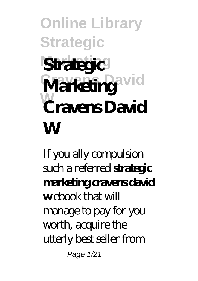#### **Online Library Strategic Strategic Cravens David Marketing W Cravens David Strategic W**

If you ally compulsion such a referred **strategic marketing cravens david** webook that will manage to pay for you worth, acquire the utterly best seller from Page 1/21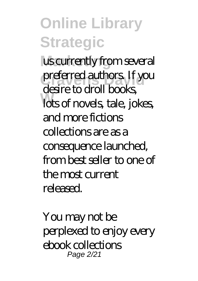#### **Online Library Strategic** us currently from several preferred authors. If you **W** lots of novels, tale, jokes, desire to droll books, and more fictions collections are as a consequence launched, from best seller to one of the most current released.

You may not be perplexed to enjoy every ebook collections Page 2/21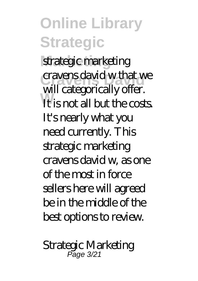strategic marketing cravens david w that we **It is not all but the costs**. will categorically offer. It's nearly what you need currently. This strategic marketing cravens david w, as one of the most in force sellers here will agreed be in the middle of the best options to review.

*Strategic Marketing* Page 3/21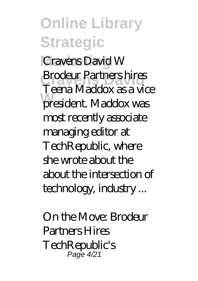**Online Library Strategic Marketing** *Cravens David W* **Brodeur Partners hires President.** Maddox was Teena Maddox as a vice most recently associate managing editor at TechRepublic, where she wrote about the about the intersection of technology, industry ...

*On the Move: Brodeur Partners Hires TechRepublic's* Page 4/21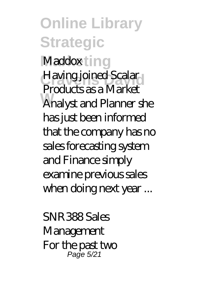**Online Library Strategic** *Maddox***ting** Having joined Scalar **W** Analyst and Planner she Products as a Market has just been informed that the company has no sales forecasting system and Finance simply examine previous sales when doing next year ...

*SNR388 Sales Management* For the past two Page 5/21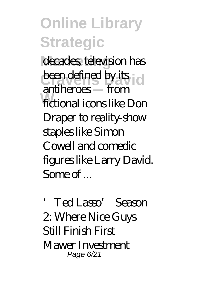decades, television has been defined by its id **W** fictional icons like Don antiheroes — from Draper to reality-show staples like Simon Cowell and comedic figures like Larry David.  $S$ ome of

*'Ted Lasso' Season 2: Where Nice Guys Still Finish First* Mawer Investment Page 6/21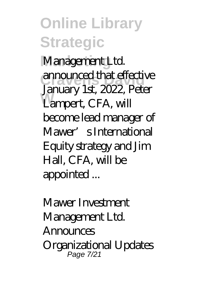**Online Library Strategic** Management Ltd. announced that effective Lampert, CFA, will January 1st, 2022, Peter become lead manager of Mawer's International

Equity strategy and Jim Hall, CFA, will be

appointed ...

*Mawer Investment Management Ltd. Announces Organizational Updates* Page 7/21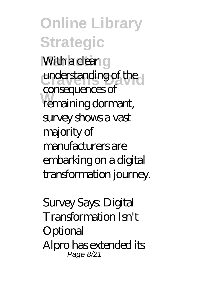**Online Library Strategic With a clear g** understanding of the **W** remaining dormant, consequences of survey shows a vast majority of manufacturers are embarking on a digital transformation journey.

*Survey Says: Digital Transformation Isn't Optional* Alpro has extended its Page 8/21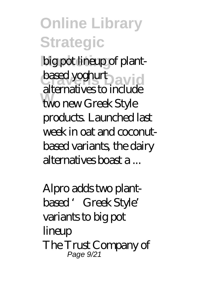big pot lineup of plantbased yoghurt<sub>David</sub> **W** two new Greek Style alternatives to include products. Launched last week in oat and coconutbased variants, the dairy alternatives boast a ...

*Alpro adds two plantbased 'Greek Style' variants to big pot lineup* The Trust Company of Page 9/21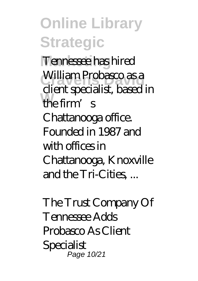**Online Library Strategic Marketing** Tennessee has hired **William Probasco as a the firm's** client specialist, based in Chattanooga office. Founded in 1987 and with offices in Chattanooga, Knoxville and the Tri-Cities,...

*The Trust Company Of Tennessee Adds Probasco As Client Specialist* Page 10/21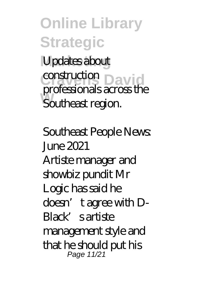**Online Library Strategic** Updates about **construction**<br>
<u>David</u> **Southeast region.** professionals across the

*Southeast People News: June 2021* Artiste manager and showbiz pundit Mr Logic has said he doesn't agree with D-Black' sartiste management style and that he should put his Page 11/21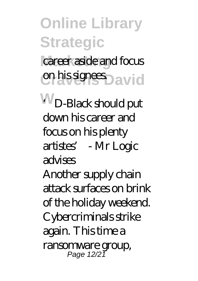career aside and focus **c**hissignes David

**W** *'D-Black should put down his career and focus on his plenty artistes' - Mr Logic advises*

Another supply chain attack surfaces on brink of the holiday weekend. Cybercriminals strike again. This time a ransomware group, Page 12/21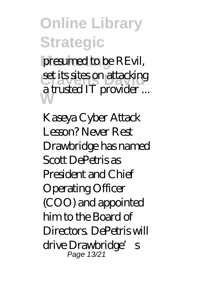presumed to be REvil, set its sites on attacking **W** a trusted IT provider ...

*Kaseya Cyber Attack Lesson? Never Rest* Drawbridge has named Scott DePetris as President and Chief Operating Officer (COO) and appointed him to the Board of Directors. DePetris will drive Drawbridge's Page 13/21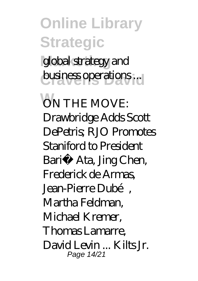**Online Library Strategic** global strategy and **business operations** ...

**W** *ON THE MOVE: Drawbridge Adds Scott DePetris; RJO Promotes Staniford to President* Bariş Ata, Jing Chen, Frederick de Armas, Jean-Pierre Dubé, Martha Feldman, Michael Kremer, Thomas Lamarre, David Levin ... Kilts Jr. Page 14/21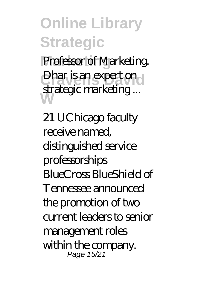**Marketing** Professor of Marketing. Dhar is an expert on **W** strategic marketing ...

*21 UChicago faculty receive named, distinguished service professorships* BlueCross BlueShield of Tennessee announced the promotion of two current leaders to senior management roles within the company. Page 15/21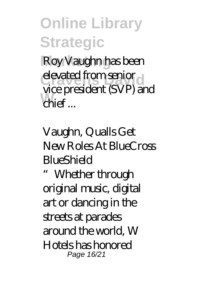**Roy Vaughn has been** elevated from senior **W** chief ... vice president (SVP) and

*Vaughn, Qualls Get New Roles At BlueCross BlueShield*

"Whether through original music, digital art or dancing in the streets at parades around the world, W Hotels has honored Page 16/21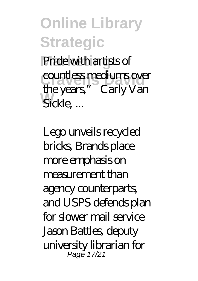Pride with artists of countless mediums over Sickle, ... the years," Carly Van

*Lego unveils recycled bricks, Brands place more emphasis on measurement than agency counterparts, and USPS defends plan for slower mail service* Jason Battles, deputy university librarian for Page 17/21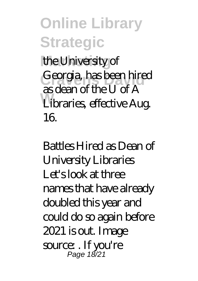**Online Library Strategic** the University of Georgia, has been hired **W** Libraries, effective Aug. as dean of the U of A 16.

*Battles Hired as Dean of University Libraries* Let's look at three names that have already doubled this year and could do so again before 2021 is out. Image source: . If you're Page 18/21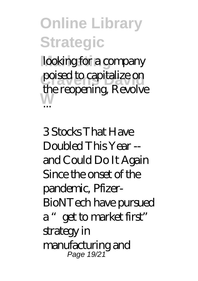looking for a company poised to capitalize on **W** the reopening, Revolve ...

*3 Stocks That Have Doubled This Year - and Could Do It Again* Since the onset of the pandemic, Pfizer-BioNTech have pursued a "get to market first" strategy in manufacturing and Page 19/21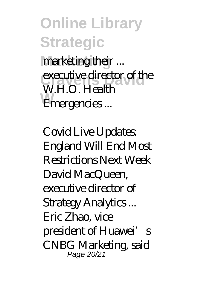**Online Library Strategic Marketing** marketing their ... executive director of the **Emergencies**... W.H.O. Health

*Covid Live Updates: England Will End Most Restrictions Next Week* David MacQueen, executive director of Strategy Analytics ... Eric Zhao, vice president of Huawei's CNBG Marketing, said Page 20/21